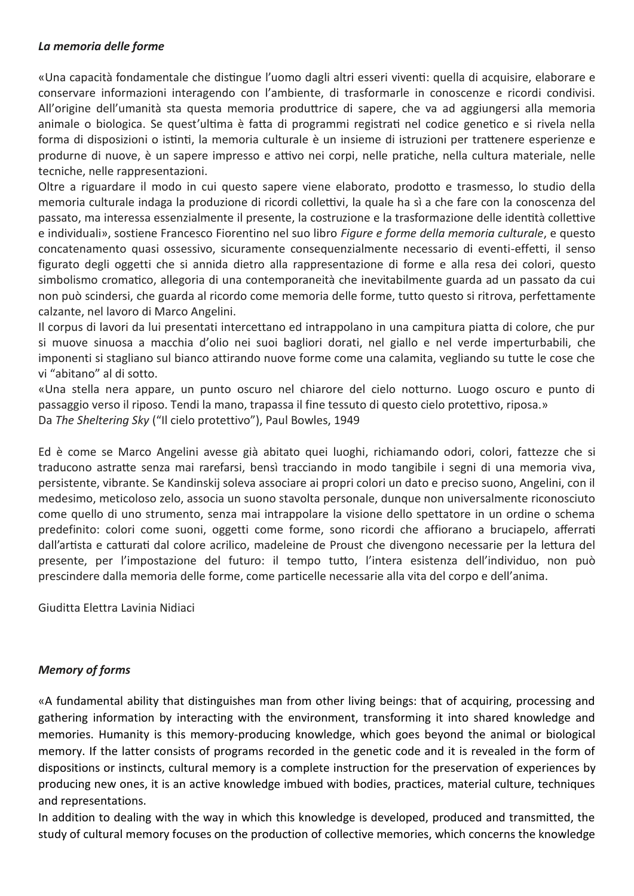## *La memoria delle forme*

«Una capacità fondamentale che distingue l'uomo dagli altri esseri viventi: quella di acquisire, elaborare e conservare informazioni interagendo con l'ambiente, di trasformarle in conoscenze e ricordi condivisi. All'origine dell'umanità sta questa memoria produttrice di sapere, che va ad aggiungersi alla memoria animale o biologica. Se quest'ultima è fatta di programmi registrati nel codice genetico e si rivela nella forma di disposizioni o istinti, la memoria culturale è un insieme di istruzioni per trattenere esperienze e produrne di nuove, è un sapere impresso e attivo nei corpi, nelle pratiche, nella cultura materiale, nelle tecniche, nelle rappresentazioni.

Oltre a riguardare il modo in cui questo sapere viene elaborato, prodotto e trasmesso, lo studio della memoria culturale indaga la produzione di ricordi collettivi, la quale ha sì a che fare con la conoscenza del passato, ma interessa essenzialmente il presente, la costruzione e la trasformazione delle identità collettive e individuali», sostiene Francesco Fiorentino nel suo libro *Figure e forme della memoria culturale*, e questo concatenamento quasi ossessivo, sicuramente consequenzialmente necessario di eventi-effetti, il senso figurato degli oggetti che si annida dietro alla rappresentazione di forme e alla resa dei colori, questo simbolismo cromatico, allegoria di una contemporaneità che inevitabilmente guarda ad un passato da cui non può scindersi, che guarda al ricordo come memoria delle forme, tutto questo si ritrova, perfettamente calzante, nel lavoro di Marco Angelini.

Il corpus di lavori da lui presentati intercettano ed intrappolano in una campitura piatta di colore, che pur si muove sinuosa a macchia d'olio nei suoi bagliori dorati, nel giallo e nel verde imperturbabili, che imponenti si stagliano sul bianco attirando nuove forme come una calamita, vegliando su tutte le cose che vi "abitano" al di sotto.

«Una stella nera appare, un punto oscuro nel chiarore del cielo notturno. Luogo oscuro e punto di passaggio verso il riposo. Tendi la mano, trapassa il fine tessuto di questo cielo protettivo, riposa.» Da *The Sheltering Sky* ("Il cielo protettivo"), Paul Bowles, 1949

Ed è come se Marco Angelini avesse già abitato quei luoghi, richiamando odori, colori, fattezze che si traducono astratte senza mai rarefarsi, bensì tracciando in modo tangibile i segni di una memoria viva, persistente, vibrante. Se Kandinskij soleva associare ai propri colori un dato e preciso suono, Angelini, con il medesimo, meticoloso zelo, associa un suono stavolta personale, dunque non universalmente riconosciuto come quello di uno strumento, senza mai intrappolare la visione dello spettatore in un ordine o schema predefinito: colori come suoni, oggetti come forme, sono ricordi che affiorano a bruciapelo, afferrati dall'artista e catturati dal colore acrilico, madeleine de Proust che divengono necessarie per la lettura del presente, per l'impostazione del futuro: il tempo tutto, l'intera esistenza dell'individuo, non può prescindere dalla memoria delle forme, come particelle necessarie alla vita del corpo e dell'anima.

Giuditta Elettra Lavinia Nidiaci

## *Memory of forms*

«A fundamental ability that distinguishes man from other living beings: that of acquiring, processing and gathering information by interacting with the environment, transforming it into shared knowledge and memories. Humanity is this memory-producing knowledge, which goes beyond the animal or biological memory. If the latter consists of programs recorded in the genetic code and it is revealed in the form of dispositions or instincts, cultural memory is a complete instruction for the preservation of experiences by producing new ones, it is an active knowledge imbued with bodies, practices, material culture, techniques and representations.

In addition to dealing with the way in which this knowledge is developed, produced and transmitted, the study of cultural memory focuses on the production of collective memories, which concerns the knowledge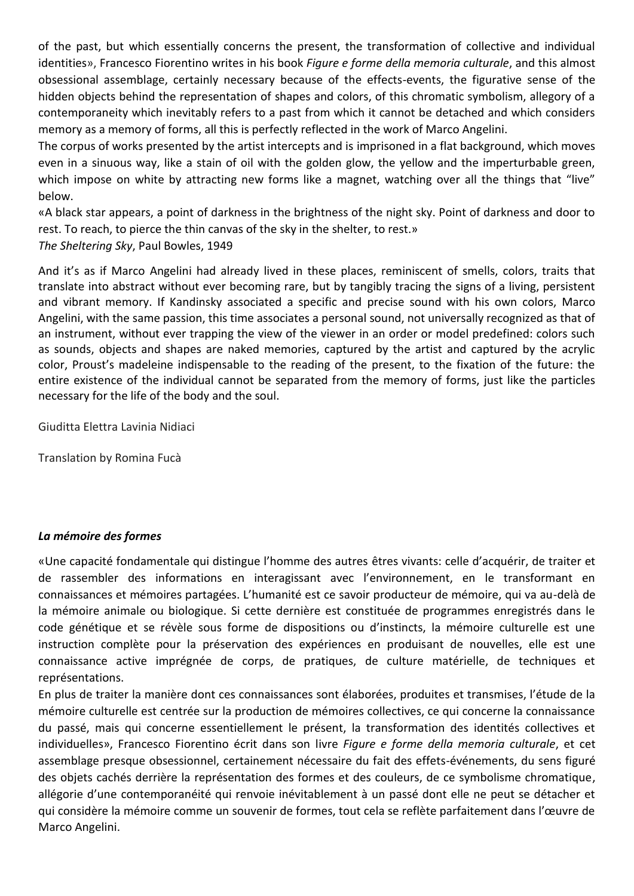of the past, but which essentially concerns the present, the transformation of collective and individual identities», Francesco Fiorentino writes in his book *Figure e forme della memoria culturale*, and this almost obsessional assemblage, certainly necessary because of the effects-events, the figurative sense of the hidden objects behind the representation of shapes and colors, of this chromatic symbolism, allegory of a contemporaneity which inevitably refers to a past from which it cannot be detached and which considers memory as a memory of forms, all this is perfectly reflected in the work of Marco Angelini.

The corpus of works presented by the artist intercepts and is imprisoned in a flat background, which moves even in a sinuous way, like a stain of oil with the golden glow, the yellow and the imperturbable green, which impose on white by attracting new forms like a magnet, watching over all the things that "live" below.

«A black star appears, a point of darkness in the brightness of the night sky. Point of darkness and door to rest. To reach, to pierce the thin canvas of the sky in the shelter, to rest.» *The Sheltering Sky*, Paul Bowles, 1949

And it's as if Marco Angelini had already lived in these places, reminiscent of smells, colors, traits that translate into abstract without ever becoming rare, but by tangibly tracing the signs of a living, persistent and vibrant memory. If Kandinsky associated a specific and precise sound with his own colors, Marco Angelini, with the same passion, this time associates a personal sound, not universally recognized as that of an instrument, without ever trapping the view of the viewer in an order or model predefined: colors such as sounds, objects and shapes are naked memories, captured by the artist and captured by the acrylic color, Proust's madeleine indispensable to the reading of the present, to the fixation of the future: the entire existence of the individual cannot be separated from the memory of forms, just like the particles necessary for the life of the body and the soul.

Giuditta Elettra Lavinia Nidiaci

Translation by Romina Fucà

## *La mémoire des formes*

«Une capacité fondamentale qui distingue l'homme des autres êtres vivants: celle d'acquérir, de traiter et de rassembler des informations en interagissant avec l'environnement, en le transformant en connaissances et mémoires partagées. L'humanité est ce savoir producteur de mémoire, qui va au-delà de la mémoire animale ou biologique. Si cette dernière est constituée de programmes enregistrés dans le code génétique et se révèle sous forme de dispositions ou d'instincts, la mémoire culturelle est une instruction complète pour la préservation des expériences en produisant de nouvelles, elle est une connaissance active imprégnée de corps, de pratiques, de culture matérielle, de techniques et représentations.

En plus de traiter la manière dont ces connaissances sont élaborées, produites et transmises, l'étude de la mémoire culturelle est centrée sur la production de mémoires collectives, ce qui concerne la connaissance du passé, mais qui concerne essentiellement le présent, la transformation des identités collectives et individuelles», Francesco Fiorentino écrit dans son livre *Figure e forme della memoria culturale*, et cet assemblage presque obsessionnel, certainement nécessaire du fait des effets-événements, du sens figuré des objets cachés derrière la représentation des formes et des couleurs, de ce symbolisme chromatique, allégorie d'une contemporanéité qui renvoie inévitablement à un passé dont elle ne peut se détacher et qui considère la mémoire comme un souvenir de formes, tout cela se reflète parfaitement dans l'œuvre de Marco Angelini.